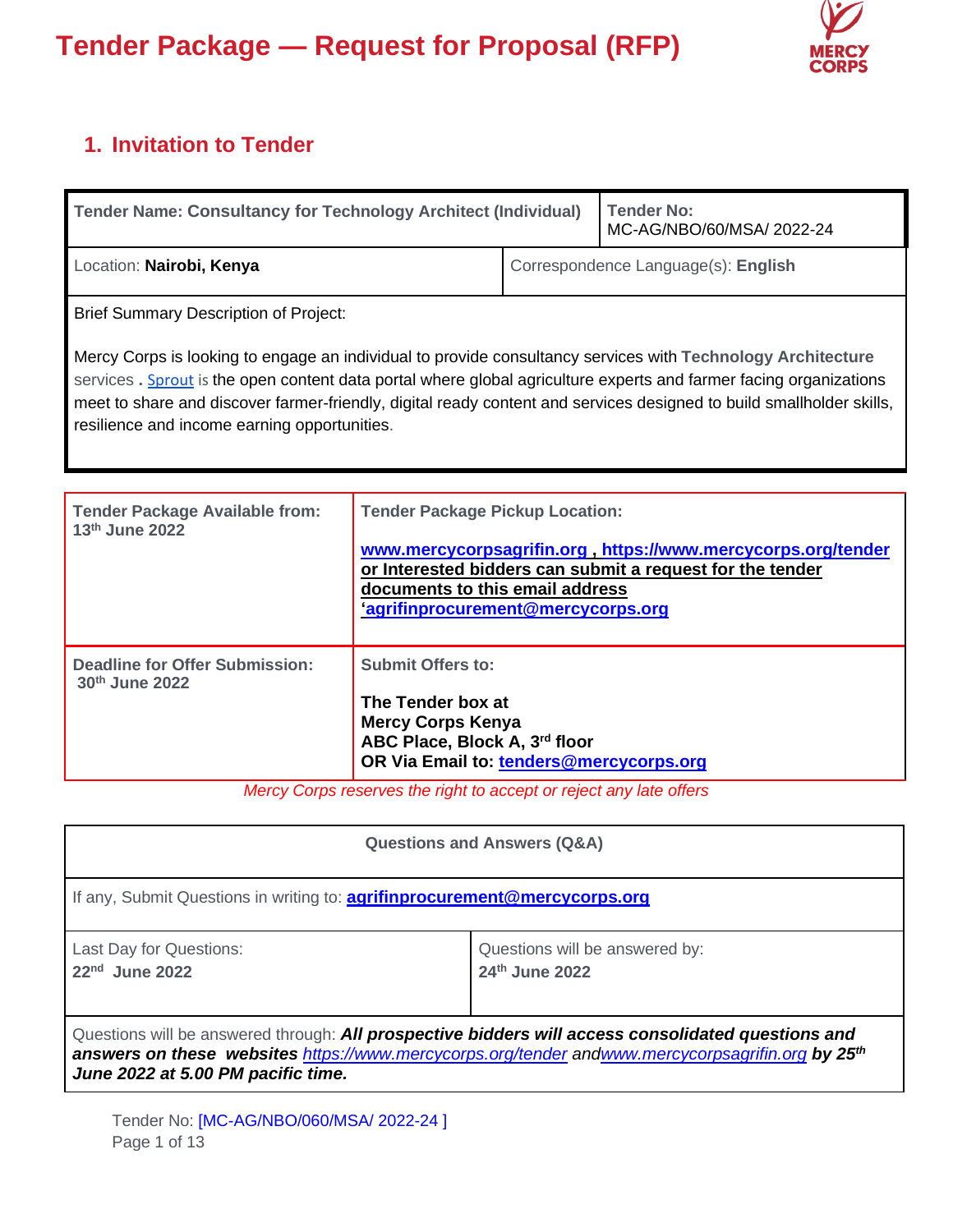

## **1. Invitation to Tender**

| Tender Name: Consultancy for Technology Architect (Individual)                                                                                                                                                                                                                                                                                                                                           |                                     | <b>Tender No:</b><br>MC-AG/NBO/60/MSA/ 2022-24 |  |  |
|----------------------------------------------------------------------------------------------------------------------------------------------------------------------------------------------------------------------------------------------------------------------------------------------------------------------------------------------------------------------------------------------------------|-------------------------------------|------------------------------------------------|--|--|
| Location: Nairobi, Kenya                                                                                                                                                                                                                                                                                                                                                                                 | Correspondence Language(s): English |                                                |  |  |
| <b>Brief Summary Description of Project:</b>                                                                                                                                                                                                                                                                                                                                                             |                                     |                                                |  |  |
| Mercy Corps is looking to engage an individual to provide consultancy services with Technology Architecture<br>services. Sprout is the open content data portal where global agriculture experts and farmer facing organizations<br>meet to share and discover farmer-friendly, digital ready content and services designed to build smallholder skills,<br>resilience and income earning opportunities. |                                     |                                                |  |  |

| <b>Tender Package Available from:</b><br>13th June 2022             | <b>Tender Package Pickup Location:</b><br>www.mercycorpsagrifin.org, https://www.mercycorps.org/tender<br>or Interested bidders can submit a request for the tender<br>documents to this email address<br>'agrifinprocurement@mercycorps.org                             |
|---------------------------------------------------------------------|--------------------------------------------------------------------------------------------------------------------------------------------------------------------------------------------------------------------------------------------------------------------------|
| <b>Deadline for Offer Submission:</b><br>30th June 2022<br>$\cdots$ | <b>Submit Offers to:</b><br>The Tender box at<br><b>Mercy Corps Kenya</b><br>ABC Place, Block A, 3rd floor<br>OR Via Email to: tenders@mercycorps.org<br>the contract of the contract of the contract of the contract of the contract of the contract of the contract of |

*Mercy Corps reserves the right to accept or reject any late offers*

| <b>Questions and Answers (Q&amp;A)</b>                                                                                                                                                                 |                                                  |  |  |
|--------------------------------------------------------------------------------------------------------------------------------------------------------------------------------------------------------|--------------------------------------------------|--|--|
| If any, Submit Questions in writing to: <b>agrifinprocurement@mercycorps.org</b>                                                                                                                       |                                                  |  |  |
| Last Day for Questions:<br>$22nd$ June 2022                                                                                                                                                            | Questions will be answered by:<br>24th June 2022 |  |  |
| Questions will be answered through: All prospective bidders will access consolidated questions and<br>answers on these websites https://www.mercycorps.org/tender andwww.mercycorpsagrifin.org by 25th |                                                  |  |  |

*June 2022 at 5.00 PM pacific time.*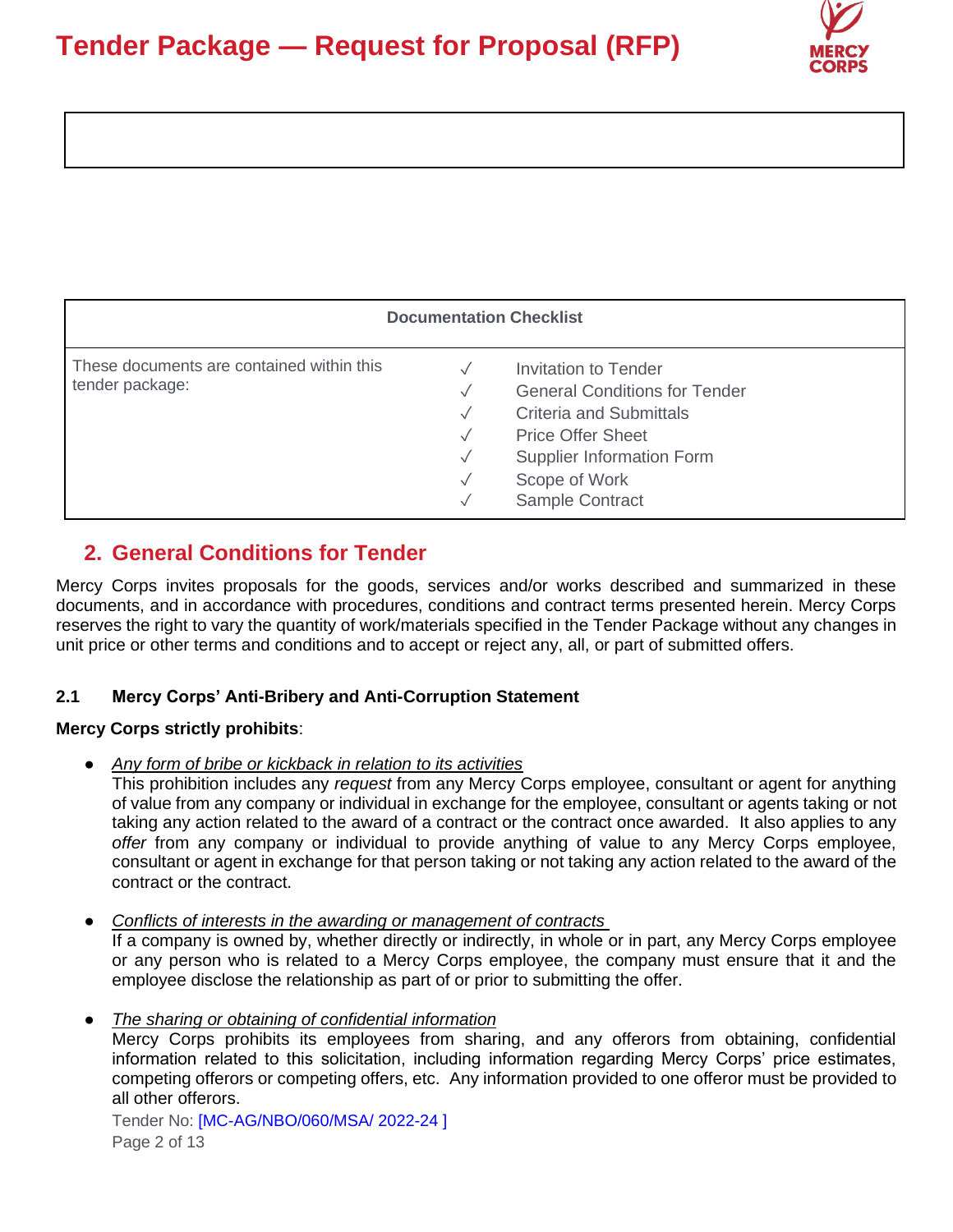

| <b>Documentation Checklist</b>                               |                                                                                              |                                                                                                                                                                                                    |  |  |
|--------------------------------------------------------------|----------------------------------------------------------------------------------------------|----------------------------------------------------------------------------------------------------------------------------------------------------------------------------------------------------|--|--|
| These documents are contained within this<br>tender package: | $\checkmark$<br>$\checkmark$<br>$\checkmark$<br>$\checkmark$<br>$\checkmark$<br>$\checkmark$ | Invitation to Tender<br><b>General Conditions for Tender</b><br><b>Criteria and Submittals</b><br><b>Price Offer Sheet</b><br><b>Supplier Information Form</b><br>Scope of Work<br>Sample Contract |  |  |

## **2. General Conditions for Tender**

Mercy Corps invites proposals for the goods, services and/or works described and summarized in these documents, and in accordance with procedures, conditions and contract terms presented herein. Mercy Corps reserves the right to vary the quantity of work/materials specified in the Tender Package without any changes in unit price or other terms and conditions and to accept or reject any, all, or part of submitted offers.

### **2.1 Mercy Corps' Anti-Bribery and Anti-Corruption Statement**

### **Mercy Corps strictly prohibits**:

● *Any form of bribe or kickback in relation to its activities*

This prohibition includes any *request* from any Mercy Corps employee, consultant or agent for anything of value from any company or individual in exchange for the employee, consultant or agents taking or not taking any action related to the award of a contract or the contract once awarded. It also applies to any *offer* from any company or individual to provide anything of value to any Mercy Corps employee, consultant or agent in exchange for that person taking or not taking any action related to the award of the contract or the contract.

**Conflicts of interests in the awarding or management of contracts** 

If a company is owned by, whether directly or indirectly, in whole or in part, any Mercy Corps employee or any person who is related to a Mercy Corps employee, the company must ensure that it and the employee disclose the relationship as part of or prior to submitting the offer.

● *The sharing or obtaining of confidential information*

Mercy Corps prohibits its employees from sharing, and any offerors from obtaining, confidential information related to this solicitation, including information regarding Mercy Corps' price estimates, competing offerors or competing offers, etc. Any information provided to one offeror must be provided to all other offerors.

Tender No: [MC-AG/NBO/060/MSA/ 2022-24 ] Page 2 of 13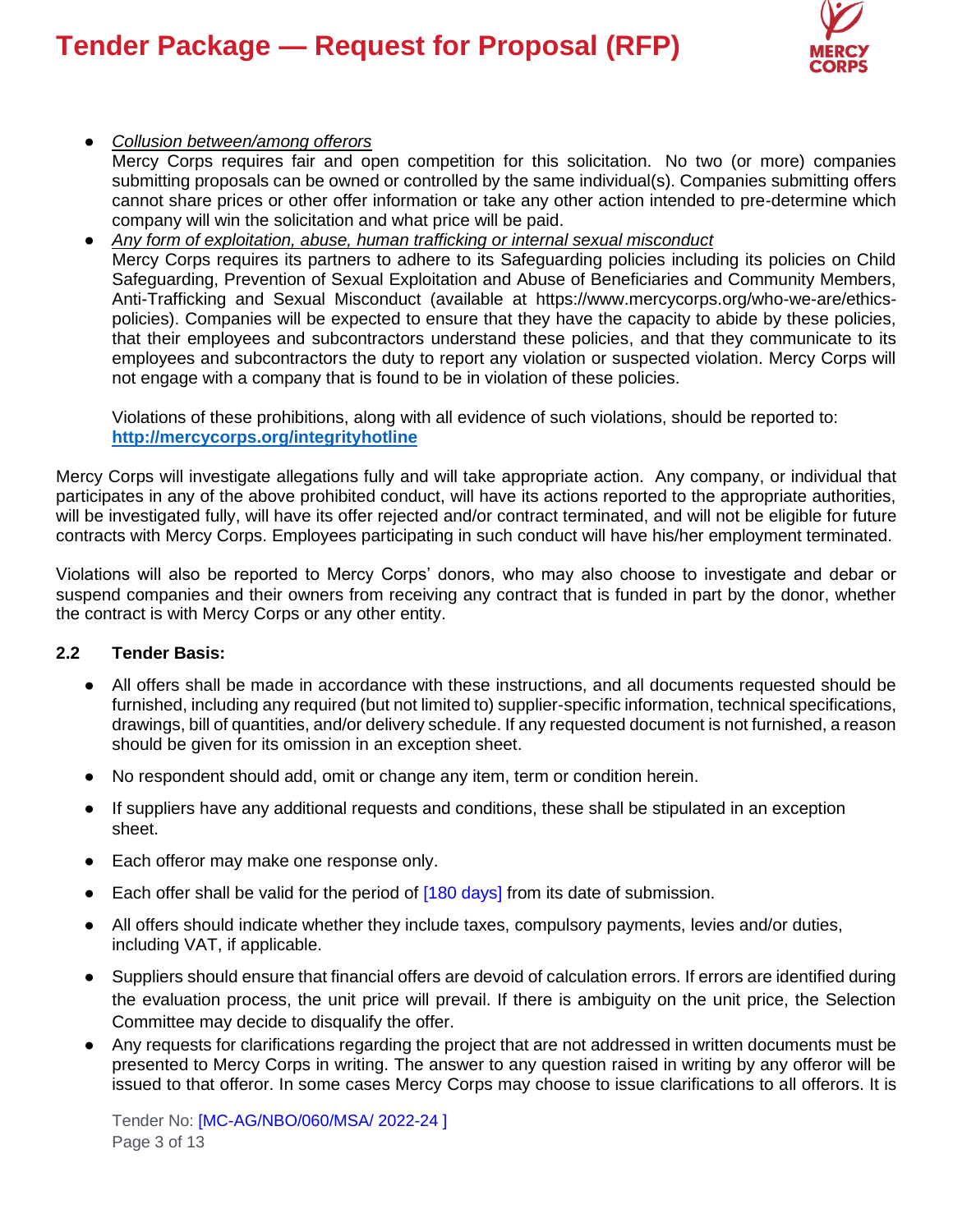

#### ● *Collusion between/among offerors*

Mercy Corps requires fair and open competition for this solicitation. No two (or more) companies submitting proposals can be owned or controlled by the same individual(s). Companies submitting offers cannot share prices or other offer information or take any other action intended to pre-determine which company will win the solicitation and what price will be paid.

● *Any form of exploitation, abuse, human trafficking or internal sexual misconduct* Mercy Corps requires its partners to adhere to its Safeguarding policies including its policies on Child Safeguarding, Prevention of Sexual Exploitation and Abuse of Beneficiaries and Community Members, Anti-Trafficking and Sexual Misconduct (available at https://www.mercycorps.org/who-we-are/ethicspolicies). Companies will be expected to ensure that they have the capacity to abide by these policies, that their employees and subcontractors understand these policies, and that they communicate to its employees and subcontractors the duty to report any violation or suspected violation. Mercy Corps will not engage with a company that is found to be in violation of these policies.

Violations of these prohibitions, along with all evidence of such violations, should be reported to: **<http://mercycorps.org/integrityhotline>**

Mercy Corps will investigate allegations fully and will take appropriate action. Any company, or individual that participates in any of the above prohibited conduct, will have its actions reported to the appropriate authorities, will be investigated fully, will have its offer rejected and/or contract terminated, and will not be eligible for future contracts with Mercy Corps. Employees participating in such conduct will have his/her employment terminated.

Violations will also be reported to Mercy Corps' donors, who may also choose to investigate and debar or suspend companies and their owners from receiving any contract that is funded in part by the donor, whether the contract is with Mercy Corps or any other entity.

### **2.2 Tender Basis:**

- All offers shall be made in accordance with these instructions, and all documents requested should be furnished, including any required (but not limited to) supplier-specific information, technical specifications, drawings, bill of quantities, and/or delivery schedule. If any requested document is not furnished, a reason should be given for its omission in an exception sheet.
- No respondent should add, omit or change any item, term or condition herein.
- If suppliers have any additional requests and conditions, these shall be stipulated in an exception sheet.
- Each offeror may make one response only.
- Each offer shall be valid for the period of [180 days] from its date of submission.
- All offers should indicate whether they include taxes, compulsory payments, levies and/or duties, including VAT, if applicable.
- Suppliers should ensure that financial offers are devoid of calculation errors. If errors are identified during the evaluation process, the unit price will prevail. If there is ambiguity on the unit price, the Selection Committee may decide to disqualify the offer.
- Any requests for clarifications regarding the project that are not addressed in written documents must be presented to Mercy Corps in writing. The answer to any question raised in writing by any offeror will be issued to that offeror. In some cases Mercy Corps may choose to issue clarifications to all offerors. It is

Tender No: [MC-AG/NBO/060/MSA/ 2022-24 ] Page 3 of 13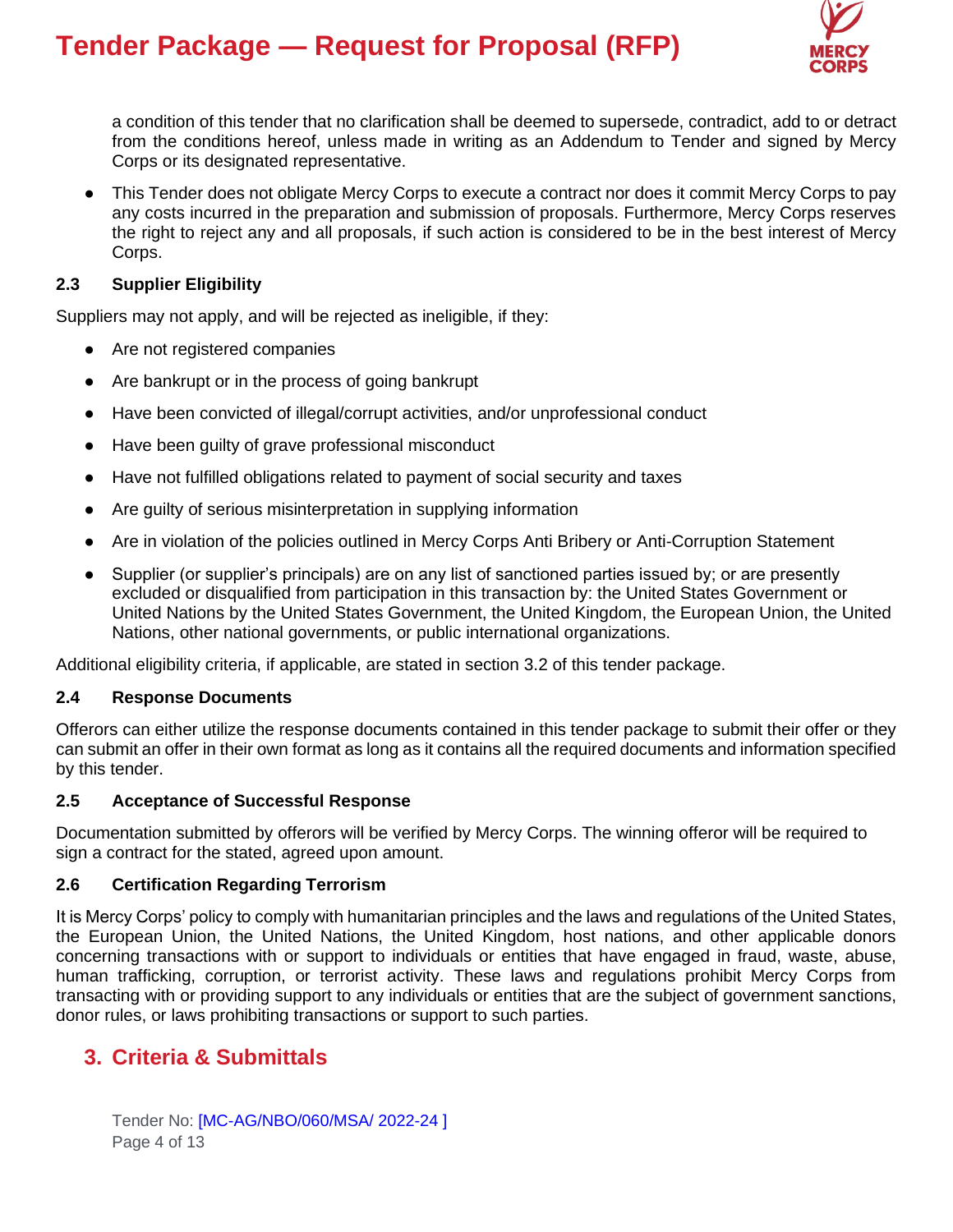

a condition of this tender that no clarification shall be deemed to supersede, contradict, add to or detract from the conditions hereof, unless made in writing as an Addendum to Tender and signed by Mercy Corps or its designated representative.

• This Tender does not obligate Mercy Corps to execute a contract nor does it commit Mercy Corps to pay any costs incurred in the preparation and submission of proposals. Furthermore, Mercy Corps reserves the right to reject any and all proposals, if such action is considered to be in the best interest of Mercy Corps.

### **2.3 Supplier Eligibility**

Suppliers may not apply, and will be rejected as ineligible, if they:

- Are not registered companies
- Are bankrupt or in the process of going bankrupt
- Have been convicted of illegal/corrupt activities, and/or unprofessional conduct
- Have been guilty of grave professional misconduct
- Have not fulfilled obligations related to payment of social security and taxes
- Are guilty of serious misinterpretation in supplying information
- Are in violation of the policies outlined in Mercy Corps Anti Bribery or Anti-Corruption Statement
- Supplier (or supplier's principals) are on any list of sanctioned parties issued by; or are presently excluded or disqualified from participation in this transaction by: the United States Government or United Nations by the United States Government, the United Kingdom, the European Union, the United Nations, other national governments, or public international organizations.

Additional eligibility criteria, if applicable, are stated in section 3.2 of this tender package.

### **2.4 Response Documents**

Offerors can either utilize the response documents contained in this tender package to submit their offer or they can submit an offer in their own format as long as it contains all the required documents and information specified by this tender.

### **2.5 Acceptance of Successful Response**

Documentation submitted by offerors will be verified by Mercy Corps. The winning offeror will be required to sign a contract for the stated, agreed upon amount.

### **2.6 Certification Regarding Terrorism**

It is Mercy Corps' policy to comply with humanitarian principles and the laws and regulations of the United States, the European Union, the United Nations, the United Kingdom, host nations, and other applicable donors concerning transactions with or support to individuals or entities that have engaged in fraud, waste, abuse, human trafficking, corruption, or terrorist activity. These laws and regulations prohibit Mercy Corps from transacting with or providing support to any individuals or entities that are the subject of government sanctions, donor rules, or laws prohibiting transactions or support to such parties.

## **3. Criteria & Submittals**

Tender No: [MC-AG/NBO/060/MSA/ 2022-24 ] Page 4 of 13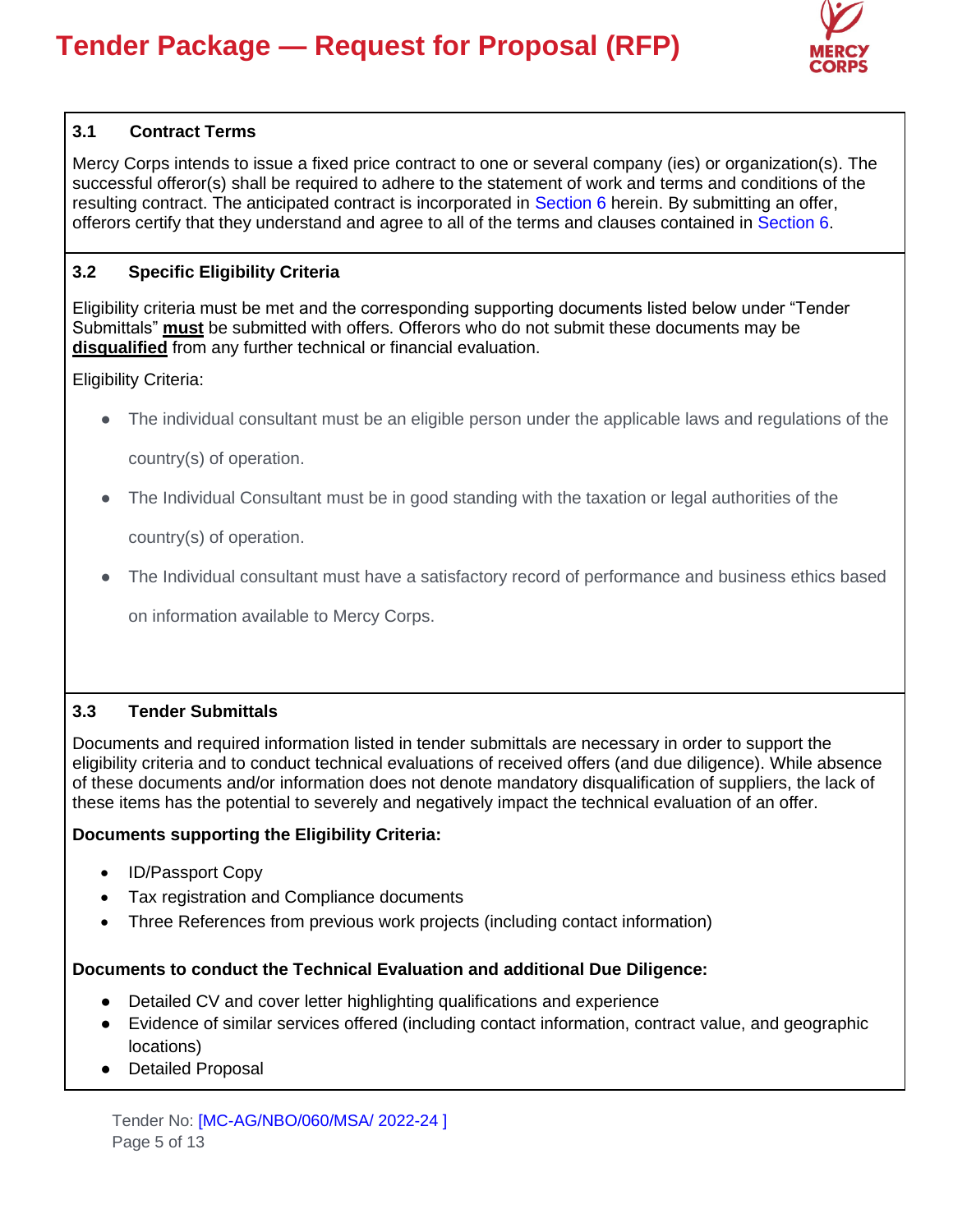

## **3.1 Contract Terms**

Mercy Corps intends to issue a fixed price contract to one or several company (ies) or organization(s). The successful offeror(s) shall be required to adhere to the statement of work and terms and conditions of the resulting contract. The anticipated contract is incorporated in Section 6 herein. By submitting an offer, offerors certify that they understand and agree to all of the terms and clauses contained in Section 6.

## **3.2 Specific Eligibility Criteria**

Eligibility criteria must be met and the corresponding supporting documents listed below under "Tender Submittals" **must** be submitted with offers. Offerors who do not submit these documents may be **disqualified** from any further technical or financial evaluation.

Eligibility Criteria:

● The individual consultant must be an eligible person under the applicable laws and regulations of the

country(s) of operation.

The Individual Consultant must be in good standing with the taxation or legal authorities of the

country(s) of operation.

The Individual consultant must have a satisfactory record of performance and business ethics based

on information available to Mercy Corps.

### **3.3 Tender Submittals**

Documents and required information listed in tender submittals are necessary in order to support the eligibility criteria and to conduct technical evaluations of received offers (and due diligence). While absence of these documents and/or information does not denote mandatory disqualification of suppliers, the lack of these items has the potential to severely and negatively impact the technical evaluation of an offer.

### **Documents supporting the Eligibility Criteria:**

- ID/Passport Copy
- Tax registration and Compliance documents
- Three References from previous work projects (including contact information)

### **Documents to conduct the Technical Evaluation and additional Due Diligence:**

- Detailed CV and cover letter highlighting qualifications and experience
- Evidence of similar services offered (including contact information, contract value, and geographic locations)
- Detailed Proposal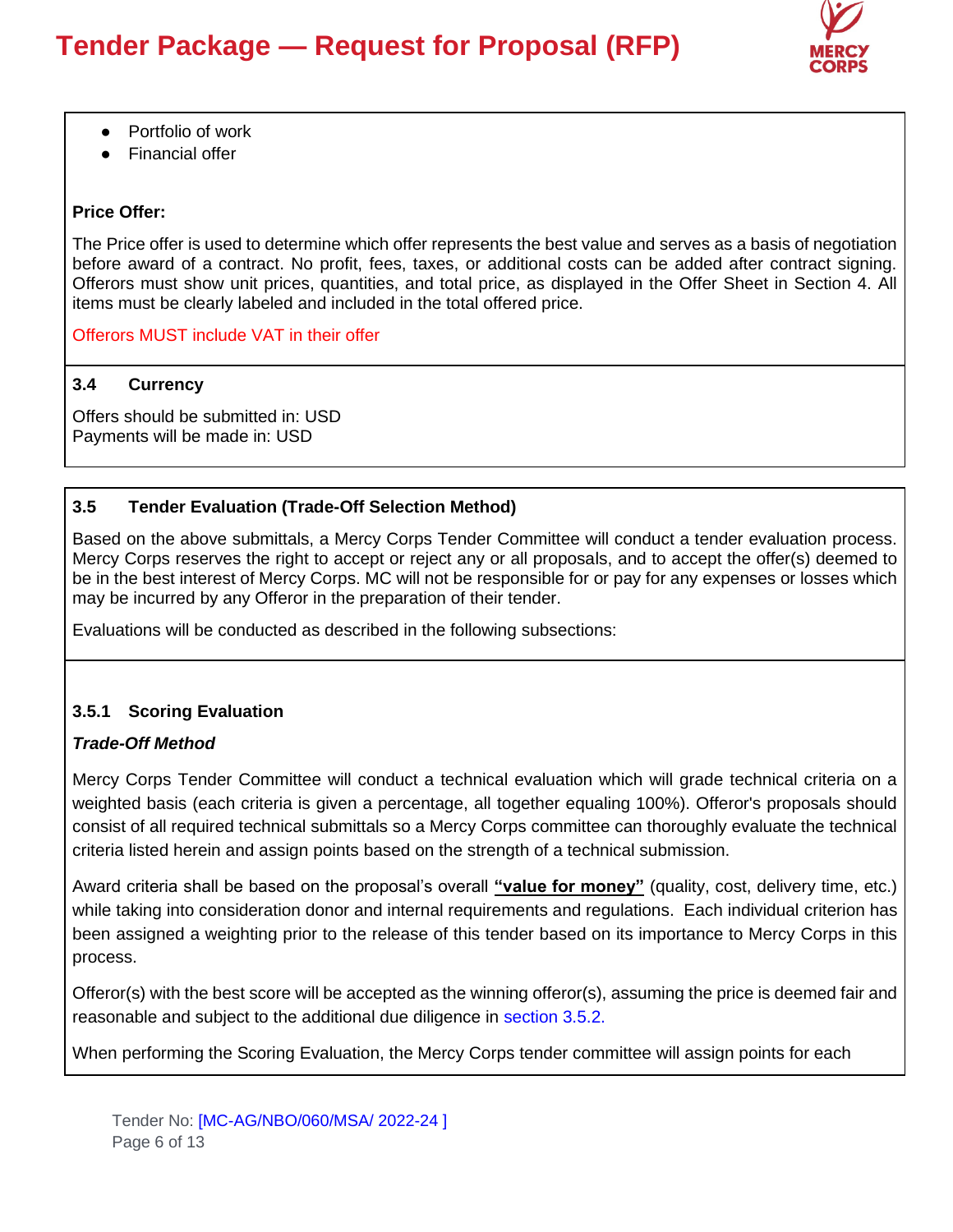

- Portfolio of work
- Financial offer

### **Price Offer:**

The Price offer is used to determine which offer represents the best value and serves as a basis of negotiation before award of a contract. No profit, fees, taxes, or additional costs can be added after contract signing. Offerors must show unit prices, quantities, and total price, as displayed in the Offer Sheet in Section 4. All items must be clearly labeled and included in the total offered price.

Offerors MUST include VAT in their offer

### **3.4 Currency**

Offers should be submitted in: USD Payments will be made in: USD

## **3.5 Tender Evaluation (Trade-Off Selection Method)**

Based on the above submittals, a Mercy Corps Tender Committee will conduct a tender evaluation process. Mercy Corps reserves the right to accept or reject any or all proposals, and to accept the offer(s) deemed to be in the best interest of Mercy Corps. MC will not be responsible for or pay for any expenses or losses which may be incurred by any Offeror in the preparation of their tender.

Evaluations will be conducted as described in the following subsections:

## **3.5.1 Scoring Evaluation**

### *Trade-Off Method*

Mercy Corps Tender Committee will conduct a technical evaluation which will grade technical criteria on a weighted basis (each criteria is given a percentage, all together equaling 100%). Offeror's proposals should consist of all required technical submittals so a Mercy Corps committee can thoroughly evaluate the technical criteria listed herein and assign points based on the strength of a technical submission.

Award criteria shall be based on the proposal's overall **"value for money"** (quality, cost, delivery time, etc.) while taking into consideration donor and internal requirements and regulations. Each individual criterion has been assigned a weighting prior to the release of this tender based on its importance to Mercy Corps in this process.

Offeror(s) with the best score will be accepted as the winning offeror(s), assuming the price is deemed fair and reasonable and subject to the additional due diligence in section 3.5.2.

When performing the Scoring Evaluation, the Mercy Corps tender committee will assign points for each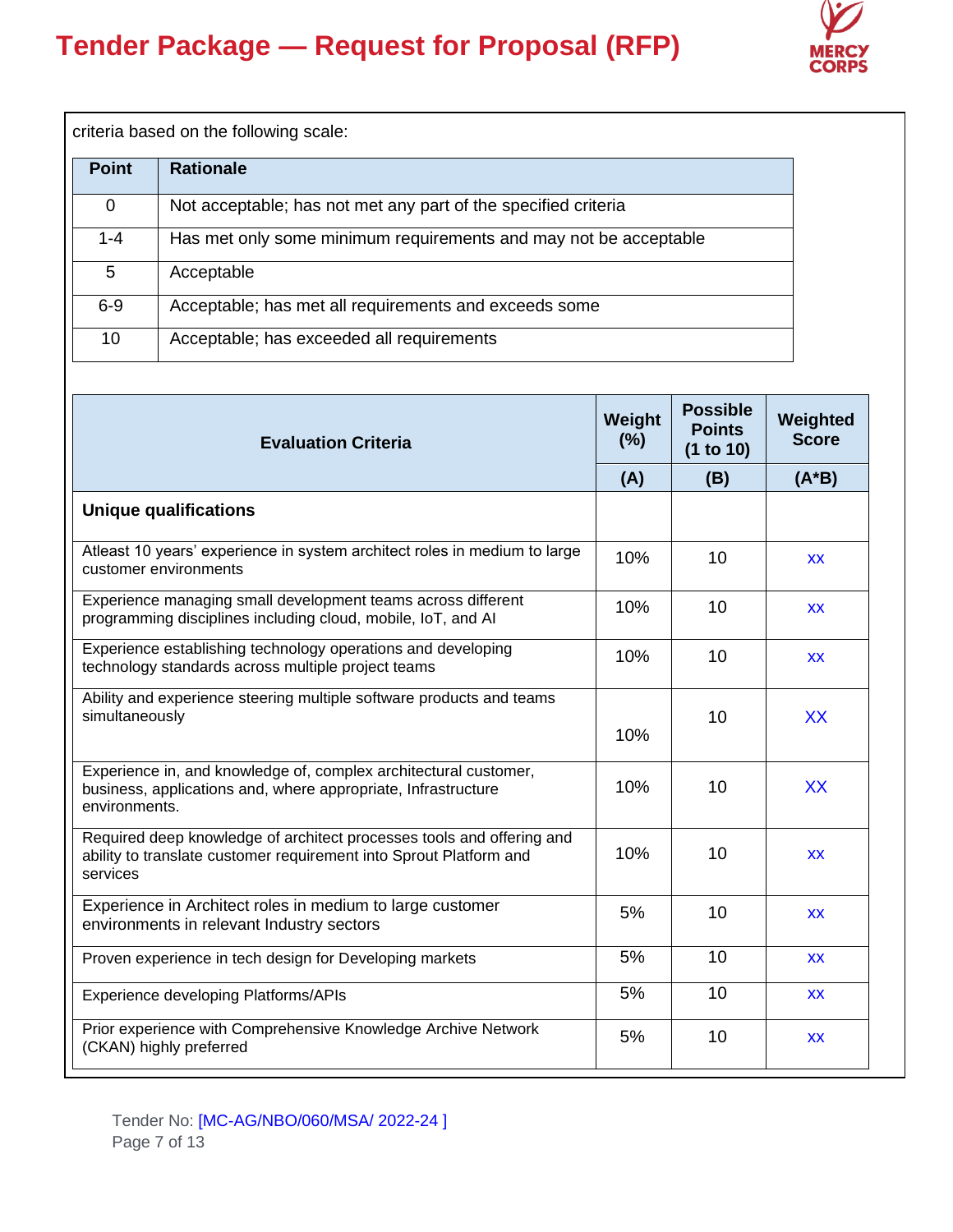

criteria based on the following scale:

| <b>Point</b> | <b>Rationale</b>                                                 |
|--------------|------------------------------------------------------------------|
| 0            | Not acceptable; has not met any part of the specified criteria   |
| $1 - 4$      | Has met only some minimum requirements and may not be acceptable |
| 5            | Acceptable                                                       |
| $6-9$        | Acceptable; has met all requirements and exceeds some            |
| 10           | Acceptable; has exceeded all requirements                        |

| <b>Evaluation Criteria</b>                                                                                                                              |     | <b>Possible</b><br><b>Points</b><br>(1 to 10) | Weighted<br><b>Score</b> |
|---------------------------------------------------------------------------------------------------------------------------------------------------------|-----|-----------------------------------------------|--------------------------|
|                                                                                                                                                         | (A) | (B)                                           | $(A^*B)$                 |
| <b>Unique qualifications</b>                                                                                                                            |     |                                               |                          |
| Atleast 10 years' experience in system architect roles in medium to large<br>customer environments                                                      | 10% | 10                                            | <b>XX</b>                |
| Experience managing small development teams across different<br>programming disciplines including cloud, mobile, IoT, and AI                            | 10% | 10                                            | <b>XX</b>                |
| Experience establishing technology operations and developing<br>technology standards across multiple project teams                                      | 10% | 10                                            | <b>XX</b>                |
| Ability and experience steering multiple software products and teams<br>simultaneously                                                                  | 10% | 10                                            | <b>XX</b>                |
| Experience in, and knowledge of, complex architectural customer,<br>business, applications and, where appropriate, Infrastructure<br>environments.      | 10% | 10                                            | <b>XX</b>                |
| Required deep knowledge of architect processes tools and offering and<br>ability to translate customer requirement into Sprout Platform and<br>services | 10% | 10                                            | <b>XX</b>                |
| Experience in Architect roles in medium to large customer<br>environments in relevant Industry sectors                                                  | 5%  | 10                                            | <b>XX</b>                |
| Proven experience in tech design for Developing markets                                                                                                 | 5%  | 10                                            | XX                       |
| Experience developing Platforms/APIs                                                                                                                    | 5%  | 10                                            | XX.                      |
| Prior experience with Comprehensive Knowledge Archive Network<br>(CKAN) highly preferred                                                                | 5%  | 10                                            | XX                       |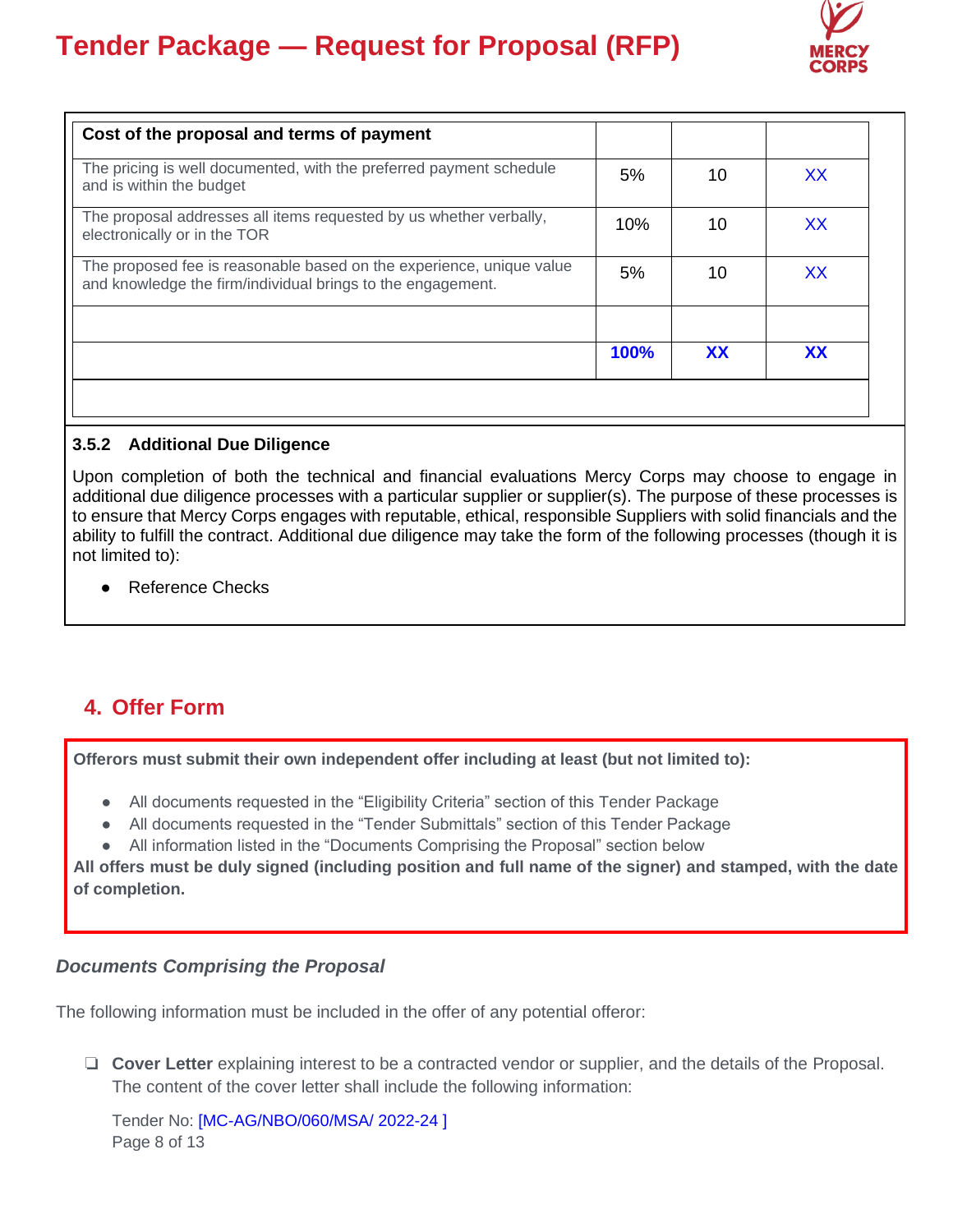

| Cost of the proposal and terms of payment                                                                                           |             |           |    |
|-------------------------------------------------------------------------------------------------------------------------------------|-------------|-----------|----|
| The pricing is well documented, with the preferred payment schedule<br>and is within the budget                                     | 5%          | 10        | XX |
| The proposal addresses all items requested by us whether verbally,<br>electronically or in the TOR                                  | 10%         | 10        | XX |
| The proposed fee is reasonable based on the experience, unique value<br>and knowledge the firm/individual brings to the engagement. | 5%          | 10        | XХ |
|                                                                                                                                     | <b>100%</b> | <b>XX</b> | XX |

### **3.5.2 Additional Due Diligence**

Upon completion of both the technical and financial evaluations Mercy Corps may choose to engage in additional due diligence processes with a particular supplier or supplier(s). The purpose of these processes is to ensure that Mercy Corps engages with reputable, ethical, responsible Suppliers with solid financials and the ability to fulfill the contract. Additional due diligence may take the form of the following processes (though it is not limited to):

Reference Checks

## **4. Offer Form**

**Offerors must submit their own independent offer including at least (but not limited to):**

- All documents requested in the "Eligibility Criteria" section of this Tender Package
- All documents requested in the "Tender Submittals" section of this Tender Package
- All information listed in the "Documents Comprising the Proposal" section below

**All offers must be duly signed (including position and full name of the signer) and stamped, with the date of completion.**

### *Documents Comprising the Proposal*

The following information must be included in the offer of any potential offeror:

❏ **Cover Letter** explaining interest to be a contracted vendor or supplier, and the details of the Proposal. The content of the cover letter shall include the following information:

Tender No: [MC-AG/NBO/060/MSA/ 2022-24 ] Page 8 of 13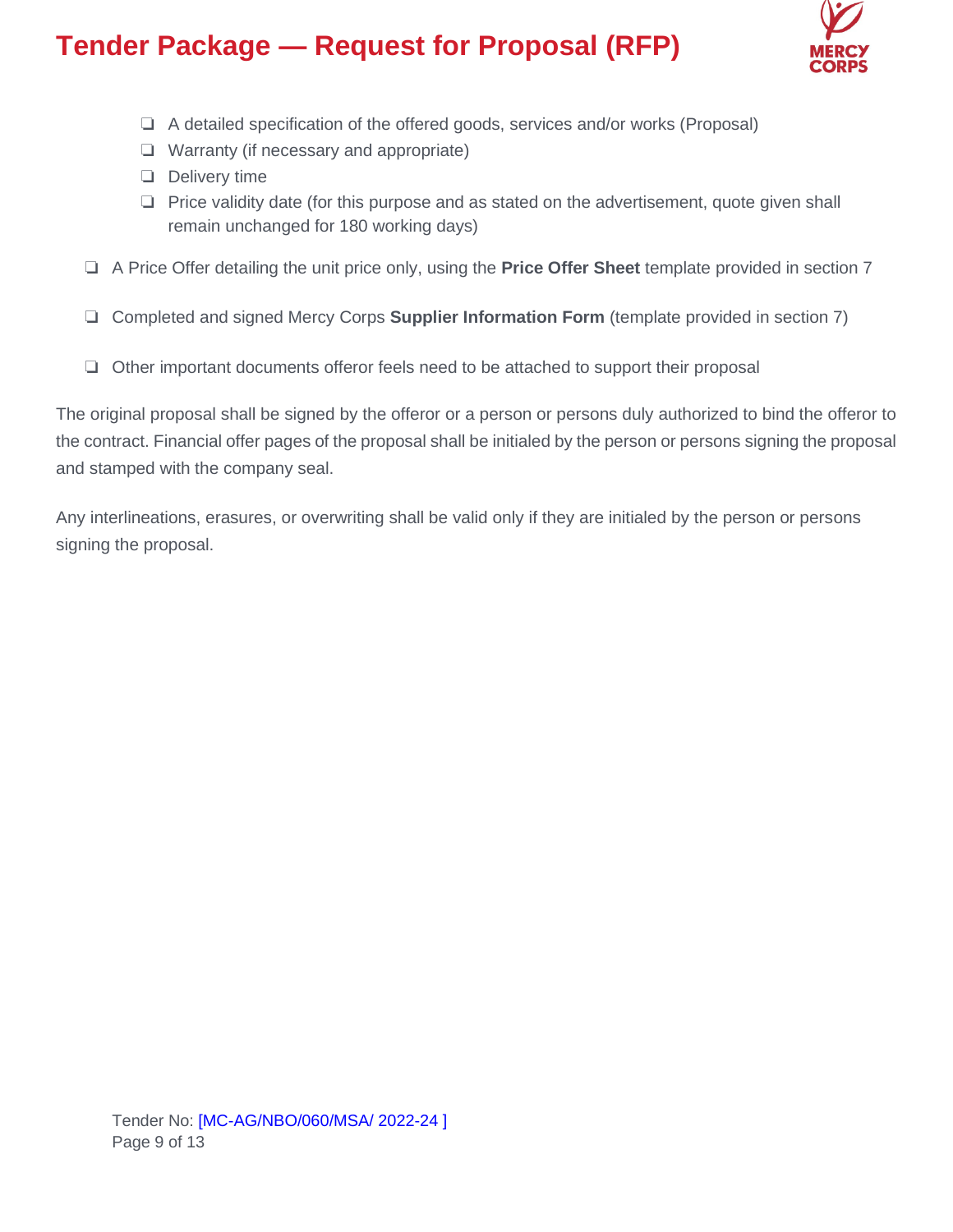

- ❏ A detailed specification of the offered goods, services and/or works (Proposal)
- ❏ Warranty (if necessary and appropriate)
- ❏ Delivery time
- ❏ Price validity date (for this purpose and as stated on the advertisement, quote given shall remain unchanged for 180 working days)
- ❏ A Price Offer detailing the unit price only, using the **Price Offer Sheet** template provided in section 7
- ❏ Completed and signed Mercy Corps **Supplier Information Form** (template provided in section 7)
- ❏ Other important documents offeror feels need to be attached to support their proposal

The original proposal shall be signed by the offeror or a person or persons duly authorized to bind the offeror to the contract. Financial offer pages of the proposal shall be initialed by the person or persons signing the proposal and stamped with the company seal.

Any interlineations, erasures, or overwriting shall be valid only if they are initialed by the person or persons signing the proposal.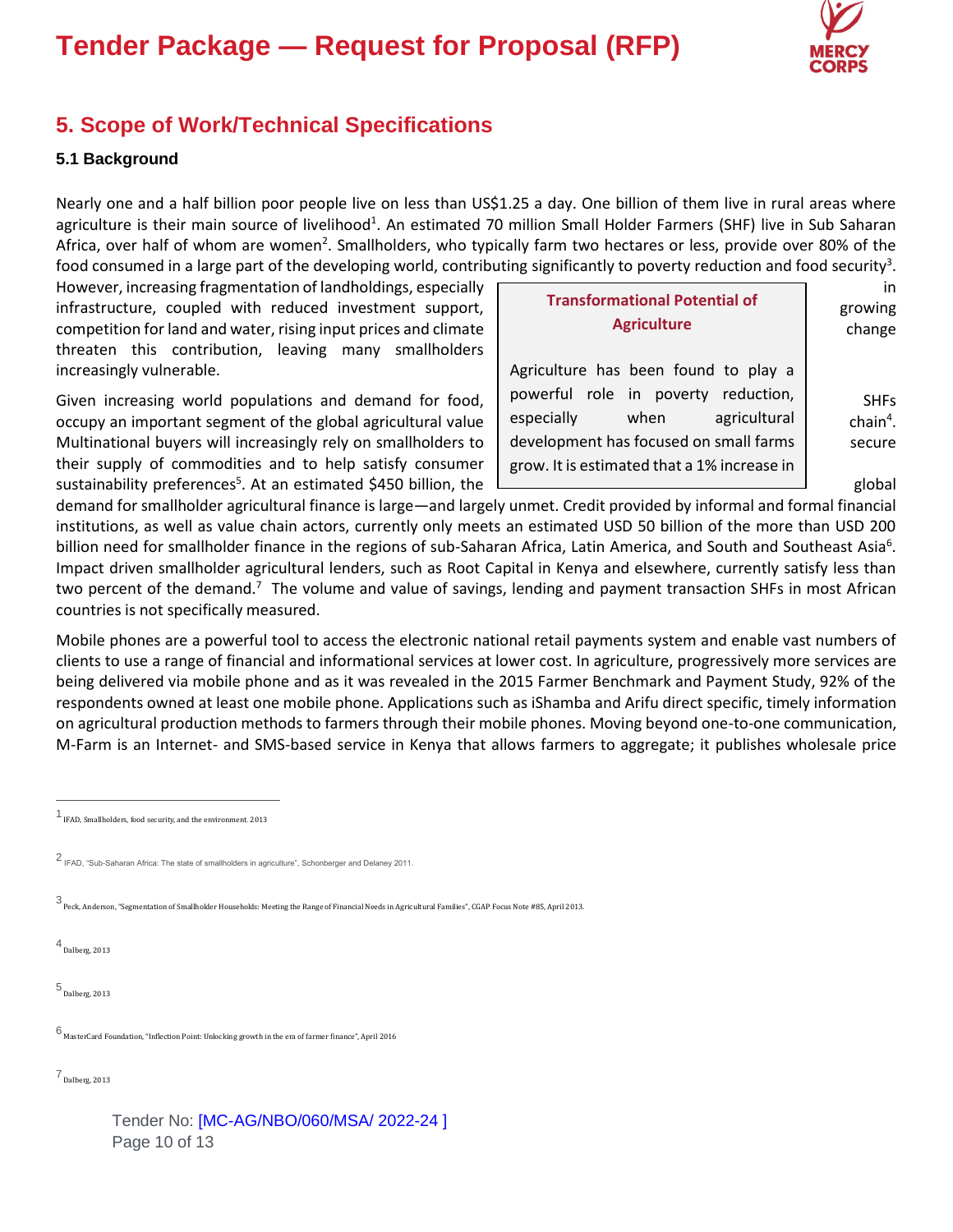

## **5. Scope of Work/Technical Specifications**

#### **5.1 Background**

Nearly one and a half billion poor people live on less than US\$1.25 a day. One billion of them live in rural areas where agriculture is their main source of livelihood<sup>1</sup>. An estimated 70 million Small Holder Farmers (SHF) live in Sub Saharan Africa, over half of whom are women<sup>2</sup>. Smallholders, who typically farm two hectares or less, provide over 80% of the food consumed in a large part of the developing world, contributing significantly to poverty reduction and food security<sup>3</sup>.

However, increasing fragmentation of landholdings, especially infrastructure, coupled with reduced investment support, competition for land and water, rising input prices and climate threaten this contribution, leaving many smallholders increasingly vulnerable.

Given increasing world populations and demand for food, occupy an important segment of the global agricultural value Multinational buyers will increasingly rely on smallholders to their supply of commodities and to help satisfy consumer sustainability preferences<sup>5</sup>. At an estimated \$450 billion, the  $\Box$  global global global

| <b>Transformational Potential of</b><br><b>Agriculture</b>                                                                                                                                                 | in<br>growing<br>change                        |
|------------------------------------------------------------------------------------------------------------------------------------------------------------------------------------------------------------|------------------------------------------------|
| Agriculture has been found to play a<br>powerful role in poverty reduction,<br>when<br>agricultural<br>especially<br>development has focused on small farms<br>grow. It is estimated that a 1% increase in | <b>SHFs</b><br>chain $4$ .<br>secure<br>global |
|                                                                                                                                                                                                            |                                                |

demand for smallholder agricultural finance is large—and largely unmet. Credit provided by informal and formal financial institutions, as well as value chain actors, currently only meets an estimated USD 50 billion of the more than USD 200 billion need for smallholder finance in the regions of sub-Saharan Africa, Latin America, and South and Southeast Asia<sup>6</sup>. Impact driven smallholder agricultural lenders, such as Root Capital in Kenya and elsewhere, currently satisfy less than two percent of the demand.<sup>7</sup> The volume and value of savings, lending and payment transaction SHFs in most African countries is not specifically measured. poor provided by import

Mobile phones are a powerful tool to access the electronic national retail payments system and enable vast numbers of clients to use a range of financial and informational services at lower cost. In agriculture, progressively more services are being delivered via mobile phone and as it was revealed in the 2015 Farmer Benchmark and Payment Study, 92% of the respondents owned at least one mobile phone. Applications such as iShamba and Arifu direct specific, timely information on agricultural production methods to farmers through their mobile phones. Moving beyond one-to-one communication, M-Farm is an Internet- and SMS-based service in Kenya that allows farmers to aggregate; it publishes wholesale price

3 Peck, Anderson, "Segmentation of Smallholder Households: Meeting the Range of Financial Needs in Agricultural Families", CGAP Focus Note #85, April 2013.

4 Dalberg, 2013

5 Dalberg, 2013

6 MasterCard Foundation, "Inflection Point: Unlocking growth in the era of farmer finance", April 2016

7 Dalberg, 2013

Tender No: [MC-AG/NBO/060/MSA/ 2022-24 ] Page 10 of 13

<sup>1</sup> IFAD, Smallholders, food security, and the environment, 2013

<sup>2</sup> IFAD, "Sub-Saharan Africa: The state of smallholders in agriculture", Schonberger and Delaney 2011.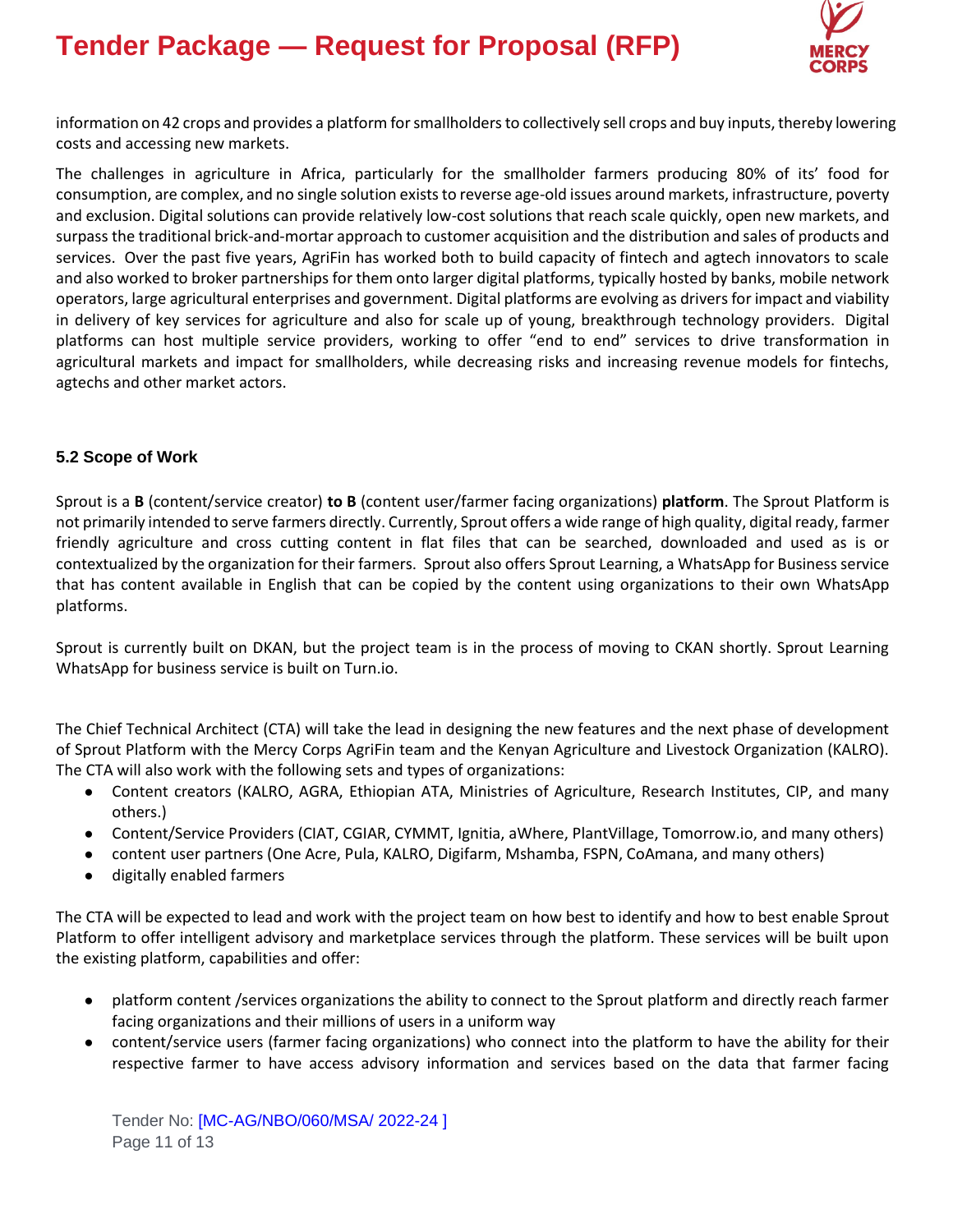

information on 42 crops and provides a platform for smallholders to collectively sell crops and buy inputs, thereby lowering costs and accessing new markets.

The challenges in agriculture in Africa, particularly for the smallholder farmers producing 80% of its' food for consumption, are complex, and no single solution exists to reverse age-old issues around markets, infrastructure, poverty and exclusion. Digital solutions can provide relatively low-cost solutions that reach scale quickly, open new markets, and surpass the traditional brick-and-mortar approach to customer acquisition and the distribution and sales of products and services. Over the past five years, AgriFin has worked both to build capacity of fintech and agtech innovators to scale and also worked to broker partnerships for them onto larger digital platforms, typically hosted by banks, mobile network operators, large agricultural enterprises and government. Digital platforms are evolving as drivers for impact and viability in delivery of key services for agriculture and also for scale up of young, breakthrough technology providers. Digital platforms can host multiple service providers, working to offer "end to end" services to drive transformation in agricultural markets and impact for smallholders, while decreasing risks and increasing revenue models for fintechs, agtechs and other market actors.

#### **5.2 Scope of Work**

Sprout is a **B** (content/service creator) **to B** (content user/farmer facing organizations) **platform**. The Sprout Platform is not primarily intended to serve farmers directly. Currently, Sprout offers a wide range of high quality, digital ready, farmer friendly agriculture and cross cutting content in flat files that can be searched, downloaded and used as is or contextualized by the organization for their farmers. Sprout also offers Sprout Learning, a WhatsApp for Business service that has content available in English that can be copied by the content using organizations to their own WhatsApp platforms.

Sprout is currently built on DKAN, but the project team is in the process of moving to CKAN shortly. Sprout Learning WhatsApp for business service is built on Turn.io.

The Chief Technical Architect (CTA) will take the lead in designing the new features and the next phase of development of Sprout Platform with the Mercy Corps AgriFin team and the Kenyan Agriculture and Livestock Organization (KALRO). The CTA will also work with the following sets and types of organizations:

- Content creators (KALRO, AGRA, Ethiopian ATA, Ministries of Agriculture, Research Institutes, CIP, and many others.)
- Content/Service Providers (CIAT, CGIAR, CYMMT, Ignitia, aWhere, PlantVillage, Tomorrow.io, and many others)
- content user partners (One Acre, Pula, KALRO, Digifarm, Mshamba, FSPN, CoAmana, and many others)
- digitally enabled farmers

The CTA will be expected to lead and work with the project team on how best to identify and how to best enable Sprout Platform to offer intelligent advisory and marketplace services through the platform. These services will be built upon the existing platform, capabilities and offer:

- platform content /services organizations the ability to connect to the Sprout platform and directly reach farmer facing organizations and their millions of users in a uniform way
- content/service users (farmer facing organizations) who connect into the platform to have the ability for their respective farmer to have access advisory information and services based on the data that farmer facing

Tender No: [MC-AG/NBO/060/MSA/ 2022-24 ] Page 11 of 13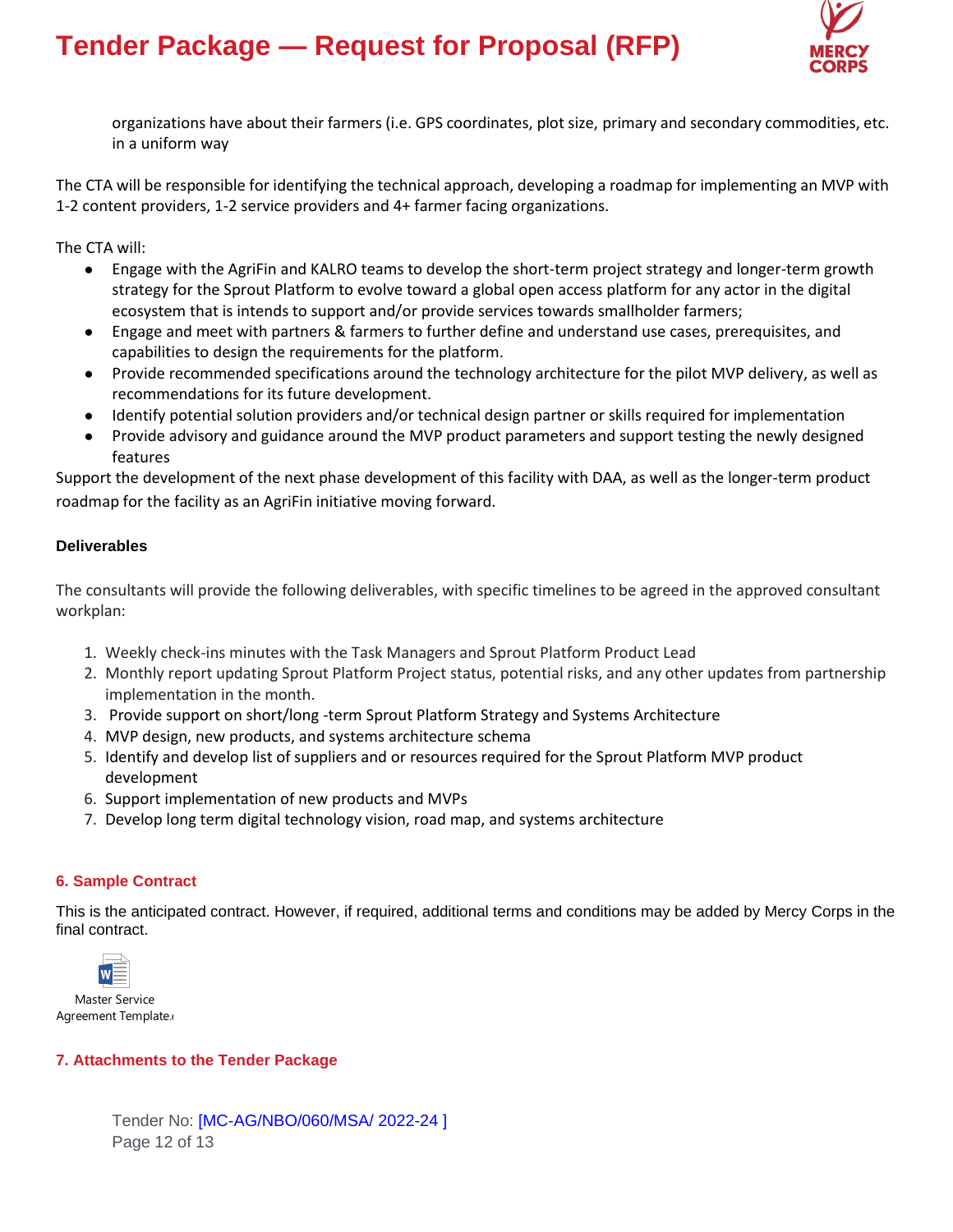

organizations have about their farmers (i.e. GPS coordinates, plot size, primary and secondary commodities, etc. in a uniform way

The CTA will be responsible for identifying the technical approach, developing a roadmap for implementing an MVP with 1-2 content providers, 1-2 service providers and 4+ farmer facing organizations.

The CTA will:

- Engage with the AgriFin and KALRO teams to develop the short-term project strategy and longer-term growth strategy for the Sprout Platform to evolve toward a global open access platform for any actor in the digital ecosystem that is intends to support and/or provide services towards smallholder farmers;
- Engage and meet with partners & farmers to further define and understand use cases, prerequisites, and capabilities to design the requirements for the platform.
- Provide recommended specifications around the technology architecture for the pilot MVP delivery, as well as recommendations for its future development.
- Identify potential solution providers and/or technical design partner or skills required for implementation
- Provide advisory and guidance around the MVP product parameters and support testing the newly designed features

Support the development of the next phase development of this facility with DAA, as well as the longer-term product roadmap for the facility as an AgriFin initiative moving forward.

#### **Deliverables**

The consultants will provide the following deliverables, with specific timelines to be agreed in the approved consultant workplan:

- 1. Weekly check-ins minutes with the Task Managers and Sprout Platform Product Lead
- 2. Monthly report updating Sprout Platform Project status, potential risks, and any other updates from partnership implementation in the month.
- 3. Provide support on short/long -term Sprout Platform Strategy and Systems Architecture
- 4. MVP design, new products, and systems architecture schema
- 5. Identify and develop list of suppliers and or resources required for the Sprout Platform MVP product development
- 6. Support implementation of new products and MVPs
- 7. Develop long term digital technology vision, road map, and systems architecture

### **6. Sample Contract**

This is the anticipated contract. However, if required, additional terms and conditions may be added by Mercy Corps in the final contract.



Master Service Agreement Template.

#### **7. Attachments to the Tender Package**

Tender No: [MC-AG/NBO/060/MSA/ 2022-24 ] Page 12 of 13